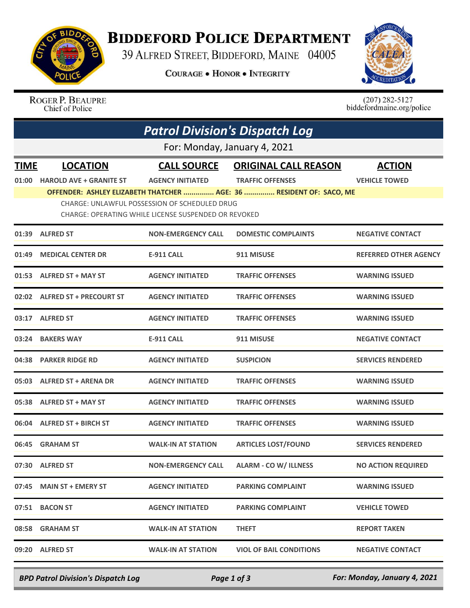

## **BIDDEFORD POLICE DEPARTMENT**

39 ALFRED STREET, BIDDEFORD, MAINE 04005

**COURAGE . HONOR . INTEGRITY** 



ROGER P. BEAUPRE Chief of Police

 $(207)$  282-5127<br>biddefordmaine.org/police

| <b>Patrol Division's Dispatch Log</b> |                                                                                                              |                           |                                                                     |                              |  |  |  |  |
|---------------------------------------|--------------------------------------------------------------------------------------------------------------|---------------------------|---------------------------------------------------------------------|------------------------------|--|--|--|--|
| For: Monday, January 4, 2021          |                                                                                                              |                           |                                                                     |                              |  |  |  |  |
| <b>TIME</b>                           | <b>LOCATION</b>                                                                                              | <b>CALL SOURCE</b>        | <b>ORIGINAL CALL REASON</b>                                         | <b>ACTION</b>                |  |  |  |  |
| 01:00                                 | <b>HAROLD AVE + GRANITE ST</b>                                                                               | <b>AGENCY INITIATED</b>   | <b>TRAFFIC OFFENSES</b>                                             | <b>VEHICLE TOWED</b>         |  |  |  |  |
|                                       |                                                                                                              |                           | OFFENDER: ASHLEY ELIZABETH THATCHER  AGE: 36  RESIDENT OF: SACO, ME |                              |  |  |  |  |
|                                       | <b>CHARGE: UNLAWFUL POSSESSION OF SCHEDULED DRUG</b><br>CHARGE: OPERATING WHILE LICENSE SUSPENDED OR REVOKED |                           |                                                                     |                              |  |  |  |  |
| 01:39                                 | <b>ALFRED ST</b>                                                                                             | <b>NON-EMERGENCY CALL</b> | <b>DOMESTIC COMPLAINTS</b>                                          | <b>NEGATIVE CONTACT</b>      |  |  |  |  |
| 01:49                                 | <b>MEDICAL CENTER DR</b>                                                                                     | <b>E-911 CALL</b>         | 911 MISUSE                                                          | <b>REFERRED OTHER AGENCY</b> |  |  |  |  |
| 01:53                                 | <b>ALFRED ST + MAY ST</b>                                                                                    | <b>AGENCY INITIATED</b>   | <b>TRAFFIC OFFENSES</b>                                             | <b>WARNING ISSUED</b>        |  |  |  |  |
|                                       | 02:02 ALFRED ST + PRECOURT ST                                                                                | <b>AGENCY INITIATED</b>   | <b>TRAFFIC OFFENSES</b>                                             | <b>WARNING ISSUED</b>        |  |  |  |  |
| 03:17                                 | <b>ALFRED ST</b>                                                                                             | <b>AGENCY INITIATED</b>   | <b>TRAFFIC OFFENSES</b>                                             | <b>WARNING ISSUED</b>        |  |  |  |  |
| 03:24                                 | <b>BAKERS WAY</b>                                                                                            | <b>E-911 CALL</b>         | 911 MISUSE                                                          | <b>NEGATIVE CONTACT</b>      |  |  |  |  |
| 04:38                                 | <b>PARKER RIDGE RD</b>                                                                                       | <b>AGENCY INITIATED</b>   | <b>SUSPICION</b>                                                    | <b>SERVICES RENDERED</b>     |  |  |  |  |
| 05:03                                 | <b>ALFRED ST + ARENA DR</b>                                                                                  | <b>AGENCY INITIATED</b>   | <b>TRAFFIC OFFENSES</b>                                             | <b>WARNING ISSUED</b>        |  |  |  |  |
| 05:38                                 | <b>ALFRED ST + MAY ST</b>                                                                                    | <b>AGENCY INITIATED</b>   | <b>TRAFFIC OFFENSES</b>                                             | <b>WARNING ISSUED</b>        |  |  |  |  |
| 06:04                                 | <b>ALFRED ST + BIRCH ST</b>                                                                                  | <b>AGENCY INITIATED</b>   | <b>TRAFFIC OFFENSES</b>                                             | <b>WARNING ISSUED</b>        |  |  |  |  |
| 06:45                                 | <b>GRAHAM ST</b>                                                                                             | <b>WALK-IN AT STATION</b> | <b>ARTICLES LOST/FOUND</b>                                          | <b>SERVICES RENDERED</b>     |  |  |  |  |
|                                       | 07:30 ALFRED ST                                                                                              | <b>NON-EMERGENCY CALL</b> | <b>ALARM - CO W/ ILLNESS</b>                                        | <b>NO ACTION REQUIRED</b>    |  |  |  |  |
|                                       | 07:45 MAIN ST + EMERY ST                                                                                     | <b>AGENCY INITIATED</b>   | <b>PARKING COMPLAINT</b>                                            | <b>WARNING ISSUED</b>        |  |  |  |  |
|                                       | 07:51 BACON ST                                                                                               | <b>AGENCY INITIATED</b>   | <b>PARKING COMPLAINT</b>                                            | <b>VEHICLE TOWED</b>         |  |  |  |  |
|                                       | 08:58 GRAHAM ST                                                                                              | <b>WALK-IN AT STATION</b> | <b>THEFT</b>                                                        | <b>REPORT TAKEN</b>          |  |  |  |  |
|                                       | 09:20 ALFRED ST                                                                                              | <b>WALK-IN AT STATION</b> | <b>VIOL OF BAIL CONDITIONS</b>                                      | <b>NEGATIVE CONTACT</b>      |  |  |  |  |

*BPD Patrol Division's Dispatch Log Page 1 of 3 For: Monday, January 4, 2021*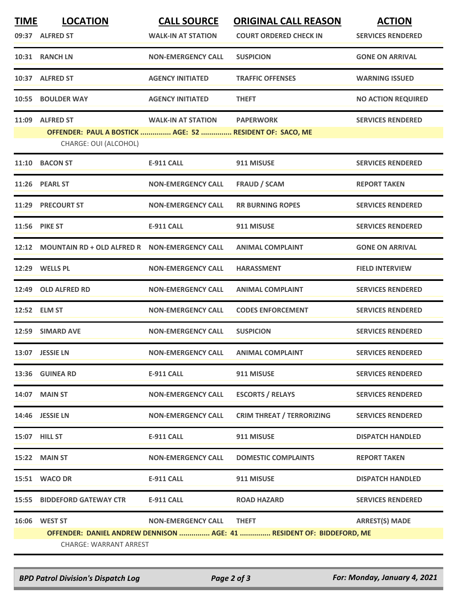| <b>TIME</b> | <b>LOCATION</b>                                                                   | <b>CALL SOURCE</b>        | <b>ORIGINAL CALL REASON</b>                                           | <b>ACTION</b>             |
|-------------|-----------------------------------------------------------------------------------|---------------------------|-----------------------------------------------------------------------|---------------------------|
|             | 09:37 ALFRED ST                                                                   | <b>WALK-IN AT STATION</b> | <b>COURT ORDERED CHECK IN</b>                                         | <b>SERVICES RENDERED</b>  |
|             | 10:31 RANCH LN                                                                    | <b>NON-EMERGENCY CALL</b> | <b>SUSPICION</b>                                                      | <b>GONE ON ARRIVAL</b>    |
|             | 10:37 ALFRED ST                                                                   | <b>AGENCY INITIATED</b>   | <b>TRAFFIC OFFENSES</b>                                               | <b>WARNING ISSUED</b>     |
| 10:55       | <b>BOULDER WAY</b>                                                                | <b>AGENCY INITIATED</b>   | <b>THEFT</b>                                                          | <b>NO ACTION REQUIRED</b> |
| 11:09       | <b>ALFRED ST</b>                                                                  | <b>WALK-IN AT STATION</b> | <b>PAPERWORK</b>                                                      | <b>SERVICES RENDERED</b>  |
|             | OFFENDER: PAUL A BOSTICK  AGE: 52  RESIDENT OF: SACO, ME<br>CHARGE: OUI (ALCOHOL) |                           |                                                                       |                           |
| 11:10       | <b>BACON ST</b>                                                                   | <b>E-911 CALL</b>         | 911 MISUSE                                                            | <b>SERVICES RENDERED</b>  |
|             | 11:26 PEARL ST                                                                    | <b>NON-EMERGENCY CALL</b> | <b>FRAUD / SCAM</b>                                                   | <b>REPORT TAKEN</b>       |
|             | 11:29 PRECOURT ST                                                                 | <b>NON-EMERGENCY CALL</b> | <b>RR BURNING ROPES</b>                                               | <b>SERVICES RENDERED</b>  |
| 11:56       | <b>PIKE ST</b>                                                                    | <b>E-911 CALL</b>         | 911 MISUSE                                                            | <b>SERVICES RENDERED</b>  |
|             | 12:12 MOUNTAIN RD + OLD ALFRED R  NON-EMERGENCY CALL                              |                           | <b>ANIMAL COMPLAINT</b>                                               | <b>GONE ON ARRIVAL</b>    |
|             | 12:29 WELLS PL                                                                    | <b>NON-EMERGENCY CALL</b> | <b>HARASSMENT</b>                                                     | <b>FIELD INTERVIEW</b>    |
|             | 12:49 OLD ALFRED RD                                                               | <b>NON-EMERGENCY CALL</b> | <b>ANIMAL COMPLAINT</b>                                               | <b>SERVICES RENDERED</b>  |
|             | 12:52 ELM ST                                                                      | <b>NON-EMERGENCY CALL</b> | <b>CODES ENFORCEMENT</b>                                              | <b>SERVICES RENDERED</b>  |
|             | 12:59 SIMARD AVE                                                                  | <b>NON-EMERGENCY CALL</b> | <b>SUSPICION</b>                                                      | <b>SERVICES RENDERED</b>  |
|             | 13:07 JESSIE LN                                                                   | <b>NON-EMERGENCY CALL</b> | <b>ANIMAL COMPLAINT</b>                                               | <b>SERVICES RENDERED</b>  |
|             | 13:36 GUINEA RD                                                                   | E-911 CALL                | 911 MISUSE                                                            | <b>SERVICES RENDERED</b>  |
|             | <b>14:07 MAIN ST</b>                                                              | <b>NON-EMERGENCY CALL</b> | <b>ESCORTS / RELAYS</b>                                               | <b>SERVICES RENDERED</b>  |
|             | 14:46 JESSIE LN                                                                   | <b>NON-EMERGENCY CALL</b> | <b>CRIM THREAT / TERRORIZING</b>                                      | <b>SERVICES RENDERED</b>  |
|             | 15:07 HILL ST                                                                     | <b>E-911 CALL</b>         | 911 MISUSE                                                            | <b>DISPATCH HANDLED</b>   |
|             | 15:22 MAIN ST                                                                     | <b>NON-EMERGENCY CALL</b> | <b>DOMESTIC COMPLAINTS</b>                                            | <b>REPORT TAKEN</b>       |
|             | 15:51 WACO DR                                                                     | <b>E-911 CALL</b>         | 911 MISUSE                                                            | <b>DISPATCH HANDLED</b>   |
|             | 15:55 BIDDEFORD GATEWAY CTR                                                       | E-911 CALL                | <b>ROAD HAZARD</b>                                                    | <b>SERVICES RENDERED</b>  |
|             | 16:06 WEST ST                                                                     | <b>NON-EMERGENCY CALL</b> | <b>THEFT</b>                                                          | <b>ARREST(S) MADE</b>     |
|             |                                                                                   |                           | OFFENDER: DANIEL ANDREW DENNISON  AGE: 41  RESIDENT OF: BIDDEFORD, ME |                           |
|             | CHARGE: WARRANT ARREST                                                            |                           |                                                                       |                           |

*BPD Patrol Division's Dispatch Log Page 2 of 3 For: Monday, January 4, 2021*